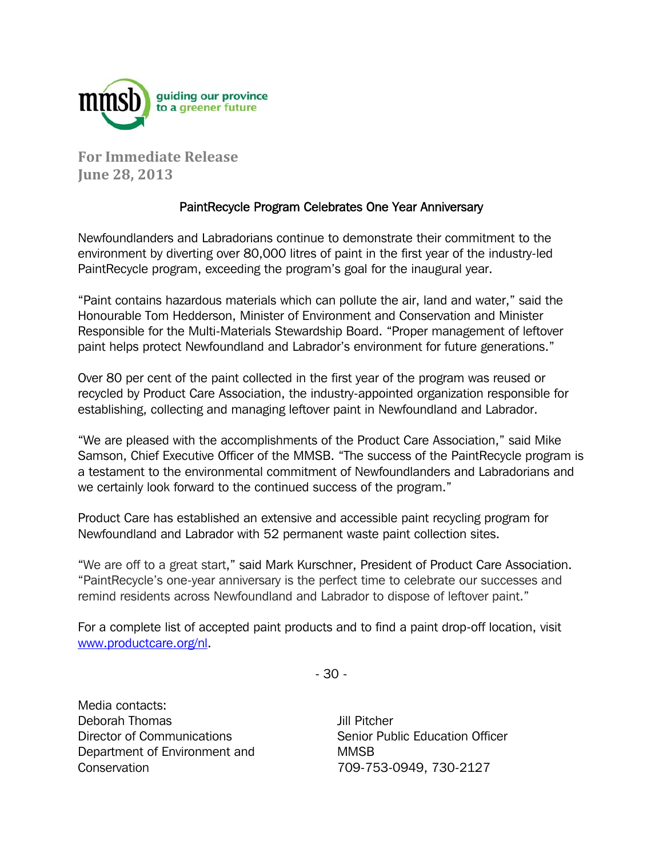

**For Immediate Release June 28, 2013**

## PaintRecycle Program Celebrates One Year Anniversary

Newfoundlanders and Labradorians continue to demonstrate their commitment to the environment by diverting over 80,000 litres of paint in the first year of the industry-led PaintRecycle program, exceeding the program's goal for the inaugural year.

"Paint contains hazardous materials which can pollute the air, land and water," said the Honourable Tom Hedderson, Minister of Environment and Conservation and Minister Responsible for the Multi-Materials Stewardship Board. "Proper management of leftover paint helps protect Newfoundland and Labrador's environment for future generations."

Over 80 per cent of the paint collected in the first year of the program was reused or recycled by Product Care Association, the industry-appointed organization responsible for establishing, collecting and managing leftover paint in Newfoundland and Labrador.

"We are pleased with the accomplishments of the Product Care Association," said Mike Samson, Chief Executive Officer of the MMSB. "The success of the PaintRecycle program is a testament to the environmental commitment of Newfoundlanders and Labradorians and we certainly look forward to the continued success of the program."

Product Care has established an extensive and accessible paint recycling program for Newfoundland and Labrador with 52 permanent waste paint collection sites.

"We are off to a great start," said Mark Kurschner, President of Product Care Association. "PaintRecycle's one-year anniversary is the perfect time to celebrate our successes and remind residents across Newfoundland and Labrador to dispose of leftover paint."

For a complete list of accepted paint products and to find a paint drop-off location, visit www.productcare.org/nl.

- 30 -

Media contacts: Deborah Thomas Director of Communications Department of Environment and **Conservation** 

Jill Pitcher Senior Public Education Officer MMSB 709-753-0949, 730-2127